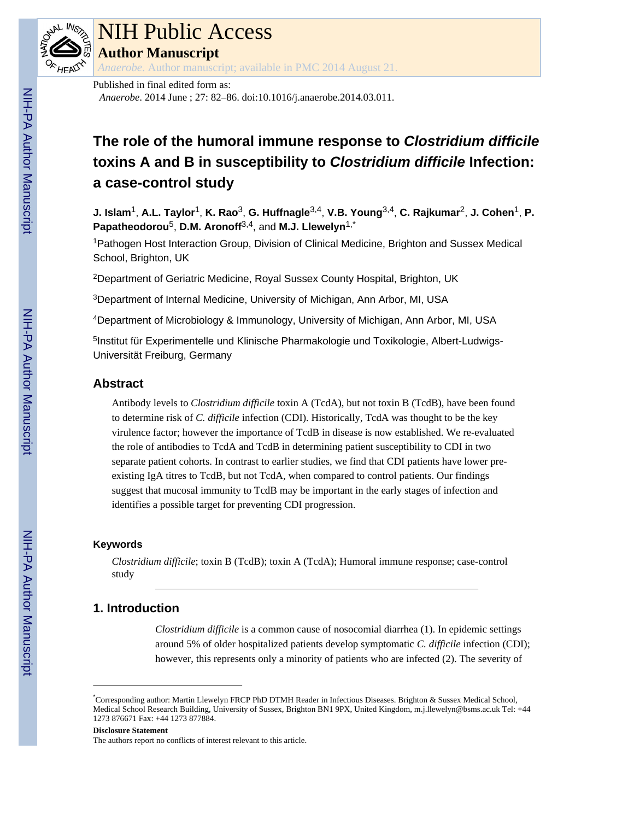

# NIH Public Access

**Author Manuscript**

*Anaerobe*. Author manuscript; available in PMC 2014 August 21.

# **The role of the humoral immune response to Clostridium difficile toxins A and B in susceptibility to Clostridium difficile Infection: a case-control study**

**J. Islam**1, **A.L. Taylor**1, **K. Rao**3, **G. Huffnagle**3,4, **V.B. Young**3,4, **C. Rajkumar**2, **J. Cohen**1, **P. Papatheodorou**5, **D.M. Aronoff**3,4, and **M.J. Llewelyn**1,\*

<sup>1</sup>Pathogen Host Interaction Group, Division of Clinical Medicine, Brighton and Sussex Medical School, Brighton, UK

<sup>2</sup>Department of Geriatric Medicine, Royal Sussex County Hospital, Brighton, UK

<sup>3</sup>Department of Internal Medicine, University of Michigan, Ann Arbor, MI, USA

<sup>4</sup>Department of Microbiology & Immunology, University of Michigan, Ann Arbor, MI, USA

<sup>5</sup>Institut für Experimentelle und Klinische Pharmakologie und Toxikologie, Albert-Ludwigs-Universität Freiburg, Germany

### **Abstract**

Antibody levels to *Clostridium difficile* toxin A (TcdA), but not toxin B (TcdB), have been found to determine risk of *C. difficile* infection (CDI). Historically, TcdA was thought to be the key virulence factor; however the importance of TcdB in disease is now established. We re-evaluated the role of antibodies to TcdA and TcdB in determining patient susceptibility to CDI in two separate patient cohorts. In contrast to earlier studies, we find that CDI patients have lower preexisting IgA titres to TcdB, but not TcdA, when compared to control patients. Our findings suggest that mucosal immunity to TcdB may be important in the early stages of infection and identifies a possible target for preventing CDI progression.

### **Keywords**

*Clostridium difficile*; toxin B (TcdB); toxin A (TcdA); Humoral immune response; case-control study

## **1. Introduction**

*Clostridium difficile* is a common cause of nosocomial diarrhea (1). In epidemic settings around 5% of older hospitalized patients develop symptomatic *C. difficile* infection (CDI); however, this represents only a minority of patients who are infected (2). The severity of

### **Disclosure Statement**

<sup>\*</sup>Corresponding author: Martin Llewelyn FRCP PhD DTMH Reader in Infectious Diseases. Brighton & Sussex Medical School, Medical School Research Building, University of Sussex, Brighton BN1 9PX, United Kingdom, m.j.llewelyn@bsms.ac.uk Tel: +44 1273 876671 Fax: +44 1273 877884.

The authors report no conflicts of interest relevant to this article.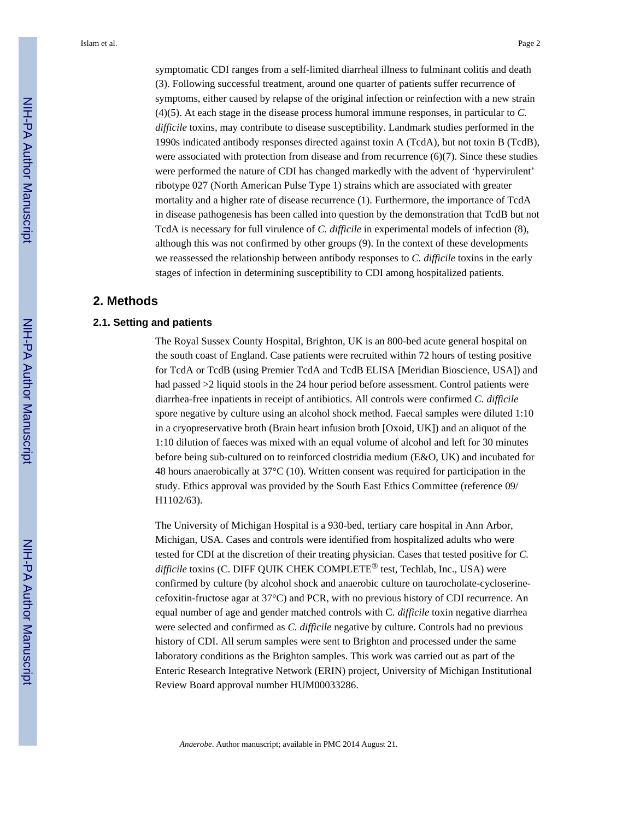symptomatic CDI ranges from a self-limited diarrheal illness to fulminant colitis and death (3). Following successful treatment, around one quarter of patients suffer recurrence of symptoms, either caused by relapse of the original infection or reinfection with a new strain (4)(5). At each stage in the disease process humoral immune responses, in particular to *C. difficile* toxins, may contribute to disease susceptibility. Landmark studies performed in the 1990s indicated antibody responses directed against toxin A (TcdA), but not toxin B (TcdB), were associated with protection from disease and from recurrence  $(6)(7)$ . Since these studies were performed the nature of CDI has changed markedly with the advent of 'hypervirulent' ribotype 027 (North American Pulse Type 1) strains which are associated with greater mortality and a higher rate of disease recurrence (1). Furthermore, the importance of TcdA in disease pathogenesis has been called into question by the demonstration that TcdB but not TcdA is necessary for full virulence of *C. difficile* in experimental models of infection (8), although this was not confirmed by other groups (9). In the context of these developments we reassessed the relationship between antibody responses to *C. difficile* toxins in the early

### **2. Methods**

### **2.1. Setting and patients**

The Royal Sussex County Hospital, Brighton, UK is an 800-bed acute general hospital on the south coast of England. Case patients were recruited within 72 hours of testing positive for TcdA or TcdB (using Premier TcdA and TcdB ELISA [Meridian Bioscience, USA]) and had passed  $>2$  liquid stools in the 24 hour period before assessment. Control patients were diarrhea-free inpatients in receipt of antibiotics. All controls were confirmed *C. difficile* spore negative by culture using an alcohol shock method. Faecal samples were diluted 1:10 in a cryopreservative broth (Brain heart infusion broth [Oxoid, UK]) and an aliquot of the 1:10 dilution of faeces was mixed with an equal volume of alcohol and left for 30 minutes before being sub-cultured on to reinforced clostridia medium (E&O, UK) and incubated for 48 hours anaerobically at 37°C (10). Written consent was required for participation in the study. Ethics approval was provided by the South East Ethics Committee (reference 09/ H1102/63).

stages of infection in determining susceptibility to CDI among hospitalized patients.

The University of Michigan Hospital is a 930-bed, tertiary care hospital in Ann Arbor, Michigan, USA. Cases and controls were identified from hospitalized adults who were tested for CDI at the discretion of their treating physician. Cases that tested positive for *C. difficile* toxins (C. DIFF QUIK CHEK COMPLETE® test, Techlab, Inc., USA) were confirmed by culture (by alcohol shock and anaerobic culture on taurocholate-cycloserinecefoxitin-fructose agar at 37°C) and PCR, with no previous history of CDI recurrence. An equal number of age and gender matched controls with C*. difficile* toxin negative diarrhea were selected and confirmed as *C. difficile* negative by culture. Controls had no previous history of CDI. All serum samples were sent to Brighton and processed under the same laboratory conditions as the Brighton samples. This work was carried out as part of the Enteric Research Integrative Network (ERIN) project, University of Michigan Institutional Review Board approval number HUM00033286.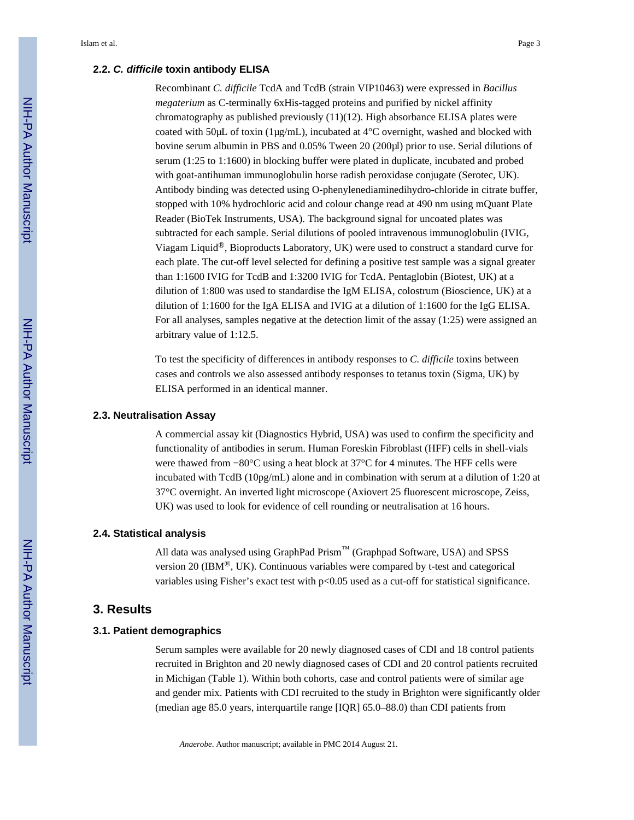### **2.2. C. difficile toxin antibody ELISA**

Recombinant *C. difficile* TcdA and TcdB (strain VIP10463) were expressed in *Bacillus megaterium* as C-terminally 6xHis-tagged proteins and purified by nickel affinity chromatography as published previously  $(11)(12)$ . High absorbance ELISA plates were coated with 50μL of toxin (1μg/mL), incubated at 4°C overnight, washed and blocked with bovine serum albumin in PBS and 0.05% Tween 20 (200μl) prior to use. Serial dilutions of serum (1:25 to 1:1600) in blocking buffer were plated in duplicate, incubated and probed with goat-antihuman immunoglobulin horse radish peroxidase conjugate (Serotec, UK). Antibody binding was detected using O-phenylenediaminedihydro-chloride in citrate buffer, stopped with 10% hydrochloric acid and colour change read at 490 nm using mQuant Plate Reader (BioTek Instruments, USA). The background signal for uncoated plates was subtracted for each sample. Serial dilutions of pooled intravenous immunoglobulin (IVIG, Viagam Liquid<sup>®</sup>, Bioproducts Laboratory, UK) were used to construct a standard curve for each plate. The cut-off level selected for defining a positive test sample was a signal greater than 1:1600 IVIG for TcdB and 1:3200 IVIG for TcdA. Pentaglobin (Biotest, UK) at a dilution of 1:800 was used to standardise the IgM ELISA, colostrum (Bioscience, UK) at a dilution of 1:1600 for the IgA ELISA and IVIG at a dilution of 1:1600 for the IgG ELISA. For all analyses, samples negative at the detection limit of the assay (1:25) were assigned an arbitrary value of 1:12.5.

To test the specificity of differences in antibody responses to *C. difficile* toxins between cases and controls we also assessed antibody responses to tetanus toxin (Sigma, UK) by ELISA performed in an identical manner.

### **2.3. Neutralisation Assay**

A commercial assay kit (Diagnostics Hybrid, USA) was used to confirm the specificity and functionality of antibodies in serum. Human Foreskin Fibroblast (HFF) cells in shell-vials were thawed from −80°C using a heat block at 37°C for 4 minutes. The HFF cells were incubated with TcdB (10pg/mL) alone and in combination with serum at a dilution of 1:20 at 37°C overnight. An inverted light microscope (Axiovert 25 fluorescent microscope, Zeiss, UK) was used to look for evidence of cell rounding or neutralisation at 16 hours.

### **2.4. Statistical analysis**

All data was analysed using GraphPad Prism™ (Graphpad Software, USA) and SPSS version 20 (IBM<sup>®</sup>, UK). Continuous variables were compared by t-test and categorical variables using Fisher's exact test with p<0.05 used as a cut-off for statistical significance.

### **3. Results**

### **3.1. Patient demographics**

Serum samples were available for 20 newly diagnosed cases of CDI and 18 control patients recruited in Brighton and 20 newly diagnosed cases of CDI and 20 control patients recruited in Michigan (Table 1). Within both cohorts, case and control patients were of similar age and gender mix. Patients with CDI recruited to the study in Brighton were significantly older (median age 85.0 years, interquartile range [IQR] 65.0–88.0) than CDI patients from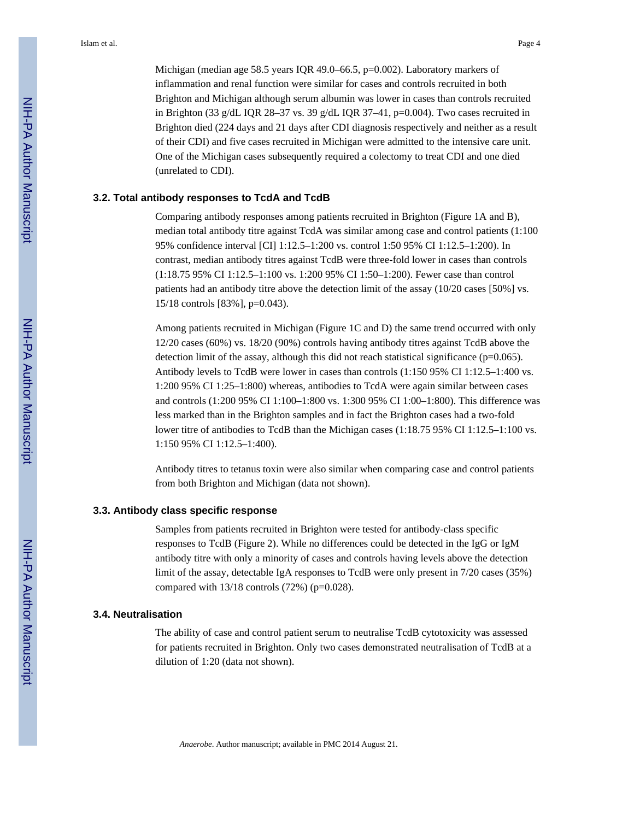Michigan (median age 58.5 years IQR 49.0–66.5, p=0.002). Laboratory markers of inflammation and renal function were similar for cases and controls recruited in both Brighton and Michigan although serum albumin was lower in cases than controls recruited in Brighton (33 g/dL IQR 28–37 vs. 39 g/dL IQR 37–41, p=0.004). Two cases recruited in Brighton died (224 days and 21 days after CDI diagnosis respectively and neither as a result of their CDI) and five cases recruited in Michigan were admitted to the intensive care unit. One of the Michigan cases subsequently required a colectomy to treat CDI and one died (unrelated to CDI).

### **3.2. Total antibody responses to TcdA and TcdB**

Comparing antibody responses among patients recruited in Brighton (Figure 1A and B), median total antibody titre against TcdA was similar among case and control patients (1:100 95% confidence interval [CI] 1:12.5–1:200 vs. control 1:50 95% CI 1:12.5–1:200). In contrast, median antibody titres against TcdB were three-fold lower in cases than controls (1:18.75 95% CI 1:12.5–1:100 vs. 1:200 95% CI 1:50–1:200). Fewer case than control patients had an antibody titre above the detection limit of the assay (10/20 cases [50%] vs. 15/18 controls [83%], p=0.043).

Among patients recruited in Michigan (Figure 1C and D) the same trend occurred with only 12/20 cases (60%) vs. 18/20 (90%) controls having antibody titres against TcdB above the detection limit of the assay, although this did not reach statistical significance ( $p=0.065$ ). Antibody levels to TcdB were lower in cases than controls (1:150 95% CI 1:12.5–1:400 vs. 1:200 95% CI 1:25–1:800) whereas, antibodies to TcdA were again similar between cases and controls (1:200 95% CI 1:100–1:800 vs. 1:300 95% CI 1:00–1:800). This difference was less marked than in the Brighton samples and in fact the Brighton cases had a two-fold lower titre of antibodies to TcdB than the Michigan cases (1:18.75 95% CI 1:12.5–1:100 vs. 1:150 95% CI 1:12.5–1:400).

Antibody titres to tetanus toxin were also similar when comparing case and control patients from both Brighton and Michigan (data not shown).

### **3.3. Antibody class specific response**

Samples from patients recruited in Brighton were tested for antibody-class specific responses to TcdB (Figure 2). While no differences could be detected in the IgG or IgM antibody titre with only a minority of cases and controls having levels above the detection limit of the assay, detectable IgA responses to TcdB were only present in 7/20 cases (35%) compared with  $13/18$  controls (72%) (p=0.028).

### **3.4. Neutralisation**

The ability of case and control patient serum to neutralise TcdB cytotoxicity was assessed for patients recruited in Brighton. Only two cases demonstrated neutralisation of TcdB at a dilution of 1:20 (data not shown).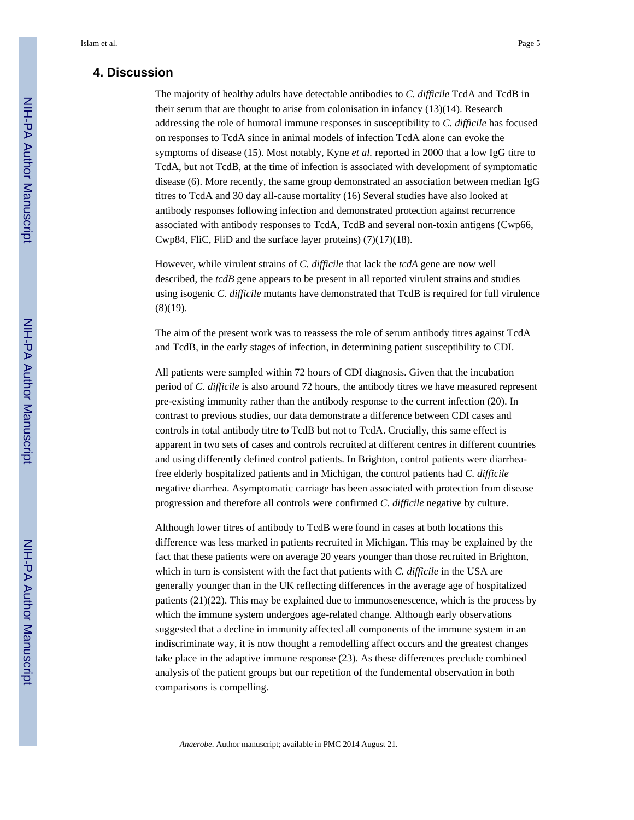### **4. Discussion**

The majority of healthy adults have detectable antibodies to *C. difficile* TcdA and TcdB in their serum that are thought to arise from colonisation in infancy (13)(14). Research addressing the role of humoral immune responses in susceptibility to *C. difficile* has focused on responses to TcdA since in animal models of infection TcdA alone can evoke the symptoms of disease (15). Most notably, Kyne *et al.* reported in 2000 that a low IgG titre to TcdA, but not TcdB, at the time of infection is associated with development of symptomatic disease (6). More recently, the same group demonstrated an association between median IgG titres to TcdA and 30 day all-cause mortality (16) Several studies have also looked at antibody responses following infection and demonstrated protection against recurrence associated with antibody responses to TcdA, TcdB and several non-toxin antigens (Cwp66, Cwp84, FliC, FliD and the surface layer proteins) (7)(17)(18).

However, while virulent strains of *C. difficile* that lack the *tcdA* gene are now well described, the *tcdB* gene appears to be present in all reported virulent strains and studies using isogenic *C. difficile* mutants have demonstrated that TcdB is required for full virulence (8)(19).

The aim of the present work was to reassess the role of serum antibody titres against TcdA and TcdB, in the early stages of infection, in determining patient susceptibility to CDI.

All patients were sampled within 72 hours of CDI diagnosis. Given that the incubation period of *C. difficile* is also around 72 hours, the antibody titres we have measured represent pre-existing immunity rather than the antibody response to the current infection (20). In contrast to previous studies, our data demonstrate a difference between CDI cases and controls in total antibody titre to TcdB but not to TcdA. Crucially, this same effect is apparent in two sets of cases and controls recruited at different centres in different countries and using differently defined control patients. In Brighton, control patients were diarrheafree elderly hospitalized patients and in Michigan, the control patients had *C. difficile* negative diarrhea. Asymptomatic carriage has been associated with protection from disease progression and therefore all controls were confirmed *C. difficile* negative by culture.

Although lower titres of antibody to TcdB were found in cases at both locations this difference was less marked in patients recruited in Michigan. This may be explained by the fact that these patients were on average 20 years younger than those recruited in Brighton, which in turn is consistent with the fact that patients with *C. difficile* in the USA are generally younger than in the UK reflecting differences in the average age of hospitalized patients (21)(22). This may be explained due to immunosenescence, which is the process by which the immune system undergoes age-related change. Although early observations suggested that a decline in immunity affected all components of the immune system in an indiscriminate way, it is now thought a remodelling affect occurs and the greatest changes take place in the adaptive immune response (23). As these differences preclude combined analysis of the patient groups but our repetition of the fundemental observation in both comparisons is compelling.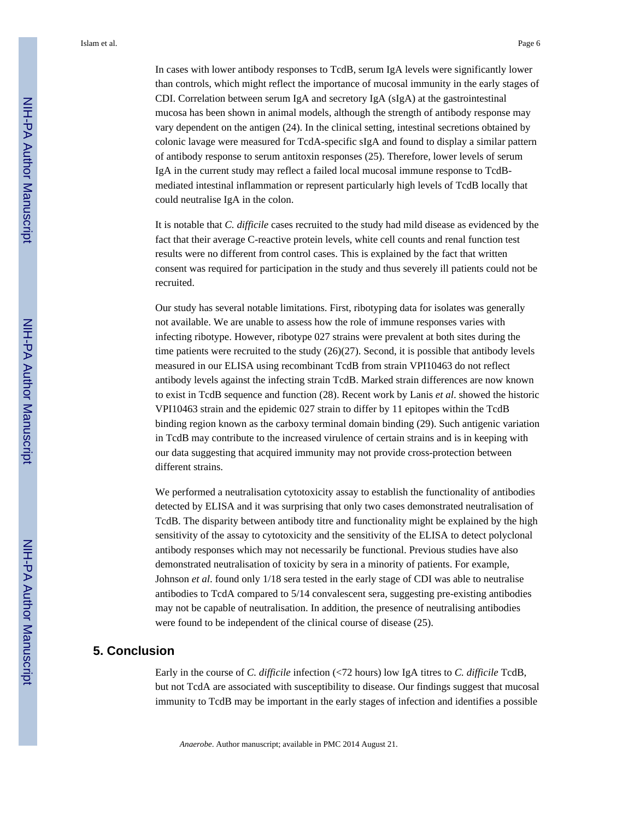In cases with lower antibody responses to TcdB, serum IgA levels were significantly lower than controls, which might reflect the importance of mucosal immunity in the early stages of CDI. Correlation between serum IgA and secretory IgA (sIgA) at the gastrointestinal mucosa has been shown in animal models, although the strength of antibody response may vary dependent on the antigen (24). In the clinical setting, intestinal secretions obtained by colonic lavage were measured for TcdA-specific sIgA and found to display a similar pattern of antibody response to serum antitoxin responses (25). Therefore, lower levels of serum IgA in the current study may reflect a failed local mucosal immune response to TcdBmediated intestinal inflammation or represent particularly high levels of TcdB locally that could neutralise IgA in the colon.

It is notable that *C. difficile* cases recruited to the study had mild disease as evidenced by the fact that their average C-reactive protein levels, white cell counts and renal function test results were no different from control cases. This is explained by the fact that written consent was required for participation in the study and thus severely ill patients could not be recruited.

Our study has several notable limitations. First, ribotyping data for isolates was generally not available. We are unable to assess how the role of immune responses varies with infecting ribotype. However, ribotype 027 strains were prevalent at both sites during the time patients were recruited to the study  $(26)(27)$ . Second, it is possible that antibody levels measured in our ELISA using recombinant TcdB from strain VPI10463 do not reflect antibody levels against the infecting strain TcdB. Marked strain differences are now known to exist in TcdB sequence and function (28). Recent work by Lanis *et al*. showed the historic VPI10463 strain and the epidemic 027 strain to differ by 11 epitopes within the TcdB binding region known as the carboxy terminal domain binding (29). Such antigenic variation in TcdB may contribute to the increased virulence of certain strains and is in keeping with our data suggesting that acquired immunity may not provide cross-protection between different strains.

We performed a neutralisation cytotoxicity assay to establish the functionality of antibodies detected by ELISA and it was surprising that only two cases demonstrated neutralisation of TcdB. The disparity between antibody titre and functionality might be explained by the high sensitivity of the assay to cytotoxicity and the sensitivity of the ELISA to detect polyclonal antibody responses which may not necessarily be functional. Previous studies have also demonstrated neutralisation of toxicity by sera in a minority of patients. For example, Johnson *et al*. found only 1/18 sera tested in the early stage of CDI was able to neutralise antibodies to TcdA compared to 5/14 convalescent sera, suggesting pre-existing antibodies may not be capable of neutralisation. In addition, the presence of neutralising antibodies were found to be independent of the clinical course of disease (25).

### **5. Conclusion**

Early in the course of *C. difficile* infection (<72 hours) low IgA titres to *C. difficile* TcdB, but not TcdA are associated with susceptibility to disease. Our findings suggest that mucosal immunity to TcdB may be important in the early stages of infection and identifies a possible

*Anaerobe*. Author manuscript; available in PMC 2014 August 21.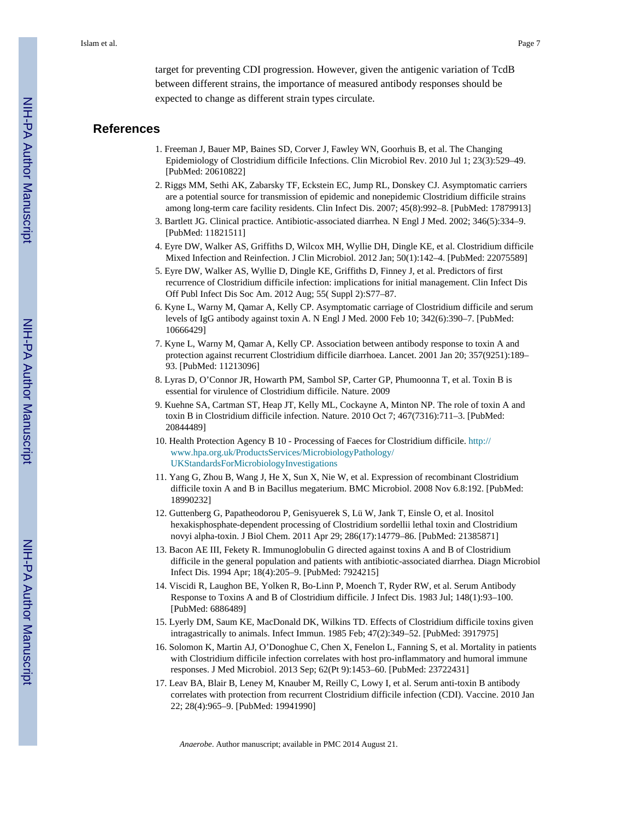### **References**

- 1. Freeman J, Bauer MP, Baines SD, Corver J, Fawley WN, Goorhuis B, et al. The Changing Epidemiology of Clostridium difficile Infections. Clin Microbiol Rev. 2010 Jul 1; 23(3):529–49. [PubMed: 20610822]
- 2. Riggs MM, Sethi AK, Zabarsky TF, Eckstein EC, Jump RL, Donskey CJ. Asymptomatic carriers are a potential source for transmission of epidemic and nonepidemic Clostridium difficile strains among long-term care facility residents. Clin Infect Dis. 2007; 45(8):992–8. [PubMed: 17879913]
- 3. Bartlett JG. Clinical practice. Antibiotic-associated diarrhea. N Engl J Med. 2002; 346(5):334–9. [PubMed: 11821511]
- 4. Eyre DW, Walker AS, Griffiths D, Wilcox MH, Wyllie DH, Dingle KE, et al. Clostridium difficile Mixed Infection and Reinfection. J Clin Microbiol. 2012 Jan; 50(1):142–4. [PubMed: 22075589]
- 5. Eyre DW, Walker AS, Wyllie D, Dingle KE, Griffiths D, Finney J, et al. Predictors of first recurrence of Clostridium difficile infection: implications for initial management. Clin Infect Dis Off Publ Infect Dis Soc Am. 2012 Aug; 55( Suppl 2):S77–87.
- 6. Kyne L, Warny M, Qamar A, Kelly CP. Asymptomatic carriage of Clostridium difficile and serum levels of IgG antibody against toxin A. N Engl J Med. 2000 Feb 10; 342(6):390–7. [PubMed: 10666429]
- 7. Kyne L, Warny M, Qamar A, Kelly CP. Association between antibody response to toxin A and protection against recurrent Clostridium difficile diarrhoea. Lancet. 2001 Jan 20; 357(9251):189– 93. [PubMed: 11213096]
- 8. Lyras D, O'Connor JR, Howarth PM, Sambol SP, Carter GP, Phumoonna T, et al. Toxin B is essential for virulence of Clostridium difficile. Nature. 2009
- 9. Kuehne SA, Cartman ST, Heap JT, Kelly ML, Cockayne A, Minton NP. The role of toxin A and toxin B in Clostridium difficile infection. Nature. 2010 Oct 7; 467(7316):711–3. [PubMed: 20844489]
- 10. Health Protection Agency B 10 Processing of Faeces for Clostridium difficile. [http://](http://www.hpa.org.uk/ProductsServices/MicrobiologyPathology/UKStandardsForMicrobiologyInvestigations) [www.hpa.org.uk/ProductsServices/MicrobiologyPathology/](http://www.hpa.org.uk/ProductsServices/MicrobiologyPathology/UKStandardsForMicrobiologyInvestigations) [UKStandardsForMicrobiologyInvestigations](http://www.hpa.org.uk/ProductsServices/MicrobiologyPathology/UKStandardsForMicrobiologyInvestigations)
- 11. Yang G, Zhou B, Wang J, He X, Sun X, Nie W, et al. Expression of recombinant Clostridium difficile toxin A and B in Bacillus megaterium. BMC Microbiol. 2008 Nov 6.8:192. [PubMed: 18990232]
- 12. Guttenberg G, Papatheodorou P, Genisyuerek S, Lü W, Jank T, Einsle O, et al. Inositol hexakisphosphate-dependent processing of Clostridium sordellii lethal toxin and Clostridium novyi alpha-toxin. J Biol Chem. 2011 Apr 29; 286(17):14779–86. [PubMed: 21385871]
- 13. Bacon AE III, Fekety R. Immunoglobulin G directed against toxins A and B of Clostridium difficile in the general population and patients with antibiotic-associated diarrhea. Diagn Microbiol Infect Dis. 1994 Apr; 18(4):205–9. [PubMed: 7924215]
- 14. Viscidi R, Laughon BE, Yolken R, Bo-Linn P, Moench T, Ryder RW, et al. Serum Antibody Response to Toxins A and B of Clostridium difficile. J Infect Dis. 1983 Jul; 148(1):93–100. [PubMed: 6886489]
- 15. Lyerly DM, Saum KE, MacDonald DK, Wilkins TD. Effects of Clostridium difficile toxins given intragastrically to animals. Infect Immun. 1985 Feb; 47(2):349–52. [PubMed: 3917975]
- 16. Solomon K, Martin AJ, O'Donoghue C, Chen X, Fenelon L, Fanning S, et al. Mortality in patients with Clostridium difficile infection correlates with host pro-inflammatory and humoral immune responses. J Med Microbiol. 2013 Sep; 62(Pt 9):1453–60. [PubMed: 23722431]
- 17. Leav BA, Blair B, Leney M, Knauber M, Reilly C, Lowy I, et al. Serum anti-toxin B antibody correlates with protection from recurrent Clostridium difficile infection (CDI). Vaccine. 2010 Jan 22; 28(4):965–9. [PubMed: 19941990]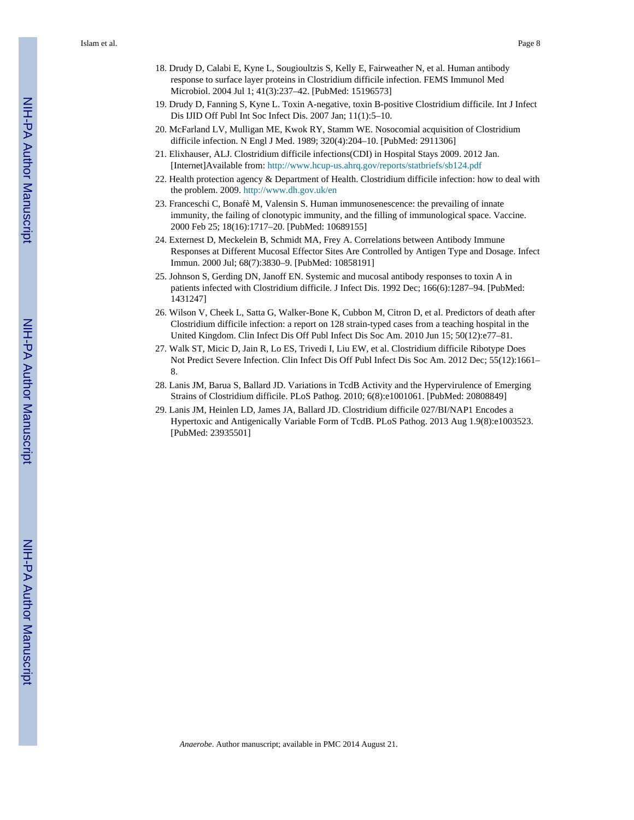- 18. Drudy D, Calabi E, Kyne L, Sougioultzis S, Kelly E, Fairweather N, et al. Human antibody response to surface layer proteins in Clostridium difficile infection. FEMS Immunol Med Microbiol. 2004 Jul 1; 41(3):237–42. [PubMed: 15196573]
- 19. Drudy D, Fanning S, Kyne L. Toxin A-negative, toxin B-positive Clostridium difficile. Int J Infect Dis IJID Off Publ Int Soc Infect Dis. 2007 Jan; 11(1):5–10.
- 20. McFarland LV, Mulligan ME, Kwok RY, Stamm WE. Nosocomial acquisition of Clostridium difficile infection. N Engl J Med. 1989; 320(4):204–10. [PubMed: 2911306]
- 21. Elixhauser, ALJ. Clostridium difficile infections(CDI) in Hospital Stays 2009. 2012 Jan. [Internet]Available from:<http://www.hcup-us.ahrq.gov/reports/statbriefs/sb124.pdf>
- 22. Health protection agency & Department of Health. Clostridium difficile infection: how to deal with the problem. 2009.<http://www.dh.gov.uk/en>
- 23. Franceschi C, Bonafè M, Valensin S. Human immunosenescence: the prevailing of innate immunity, the failing of clonotypic immunity, and the filling of immunological space. Vaccine. 2000 Feb 25; 18(16):1717–20. [PubMed: 10689155]
- 24. Externest D, Meckelein B, Schmidt MA, Frey A. Correlations between Antibody Immune Responses at Different Mucosal Effector Sites Are Controlled by Antigen Type and Dosage. Infect Immun. 2000 Jul; 68(7):3830–9. [PubMed: 10858191]
- 25. Johnson S, Gerding DN, Janoff EN. Systemic and mucosal antibody responses to toxin A in patients infected with Clostridium difficile. J Infect Dis. 1992 Dec; 166(6):1287–94. [PubMed: 1431247]
- 26. Wilson V, Cheek L, Satta G, Walker-Bone K, Cubbon M, Citron D, et al. Predictors of death after Clostridium difficile infection: a report on 128 strain-typed cases from a teaching hospital in the United Kingdom. Clin Infect Dis Off Publ Infect Dis Soc Am. 2010 Jun 15; 50(12):e77–81.
- 27. Walk ST, Micic D, Jain R, Lo ES, Trivedi I, Liu EW, et al. Clostridium difficile Ribotype Does Not Predict Severe Infection. Clin Infect Dis Off Publ Infect Dis Soc Am. 2012 Dec; 55(12):1661– 8.
- 28. Lanis JM, Barua S, Ballard JD. Variations in TcdB Activity and the Hypervirulence of Emerging Strains of Clostridium difficile. PLoS Pathog. 2010; 6(8):e1001061. [PubMed: 20808849]
- 29. Lanis JM, Heinlen LD, James JA, Ballard JD. Clostridium difficile 027/BI/NAP1 Encodes a Hypertoxic and Antigenically Variable Form of TcdB. PLoS Pathog. 2013 Aug 1.9(8):e1003523. [PubMed: 23935501]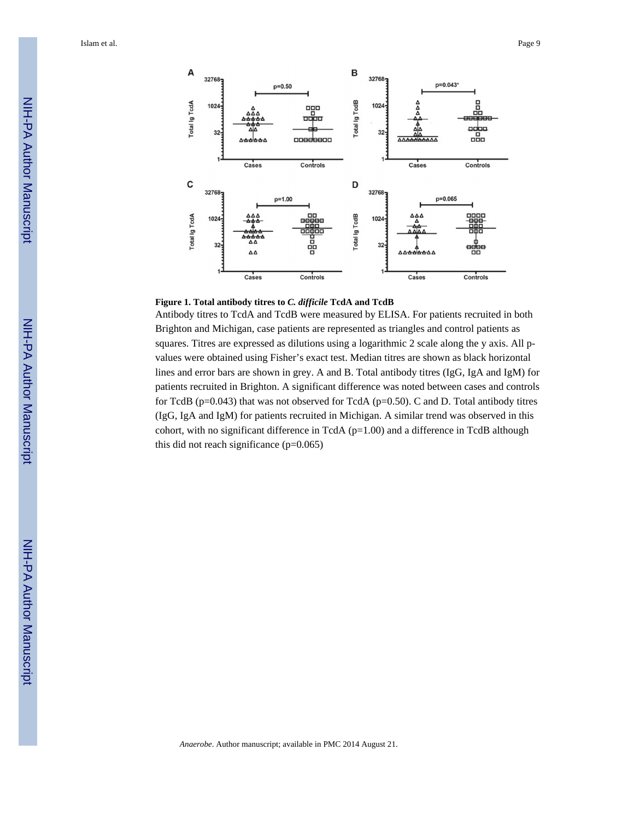



Antibody titres to TcdA and TcdB were measured by ELISA. For patients recruited in both Brighton and Michigan, case patients are represented as triangles and control patients as squares. Titres are expressed as dilutions using a logarithmic 2 scale along the y axis. All pvalues were obtained using Fisher's exact test. Median titres are shown as black horizontal lines and error bars are shown in grey. A and B. Total antibody titres (IgG, IgA and IgM) for patients recruited in Brighton. A significant difference was noted between cases and controls for TcdB (p=0.043) that was not observed for TcdA (p=0.50). C and D. Total antibody titres (IgG, IgA and IgM) for patients recruited in Michigan. A similar trend was observed in this cohort, with no significant difference in TcdA ( $p=1.00$ ) and a difference in TcdB although this did not reach significance  $(p=0.065)$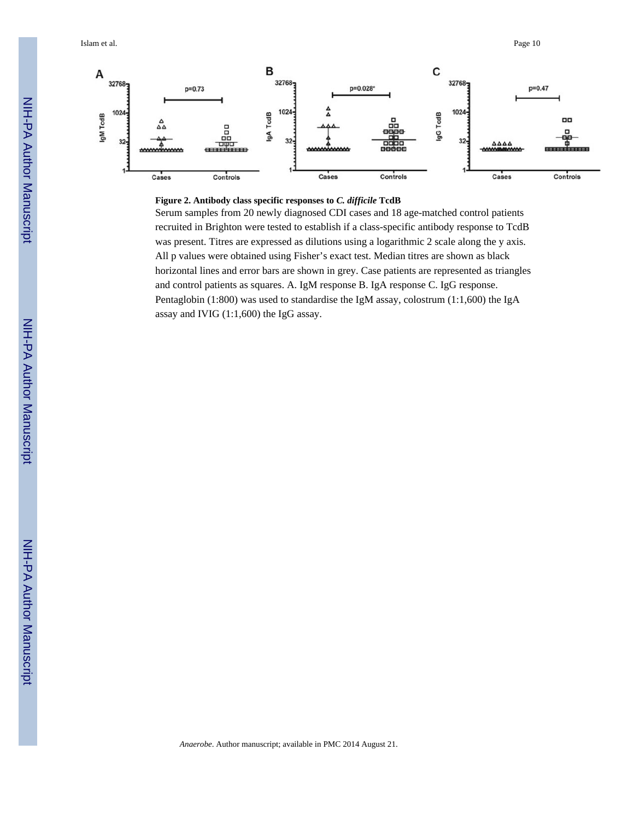

### **Figure 2. Antibody class specific responses to** *C. difficile* **TcdB**

Serum samples from 20 newly diagnosed CDI cases and 18 age-matched control patients recruited in Brighton were tested to establish if a class-specific antibody response to TcdB was present. Titres are expressed as dilutions using a logarithmic 2 scale along the y axis. All p values were obtained using Fisher's exact test. Median titres are shown as black horizontal lines and error bars are shown in grey. Case patients are represented as triangles and control patients as squares. A. IgM response B. IgA response C. IgG response. Pentaglobin (1:800) was used to standardise the IgM assay, colostrum (1:1,600) the IgA assay and IVIG (1:1,600) the IgG assay.